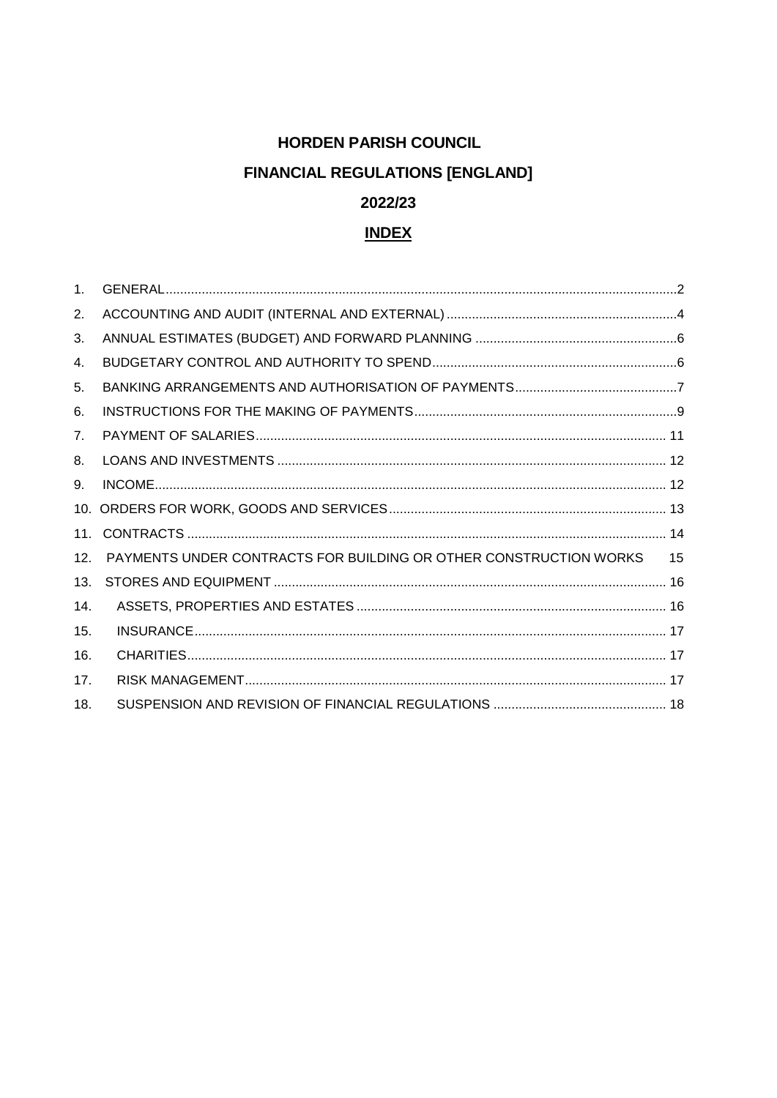# **HORDEN PARISH COUNCIL**

# **FINANCIAL REGULATIONS [ENGLAND]**

### 2022/23

### **INDEX**

| $1_{-}$         |                                                                   |    |
|-----------------|-------------------------------------------------------------------|----|
| 2.              |                                                                   |    |
| 3.              |                                                                   |    |
| 4.              |                                                                   |    |
| 5.              |                                                                   |    |
| 6.              |                                                                   |    |
| 7 <sub>1</sub>  |                                                                   |    |
| 8.              |                                                                   |    |
| 9.              |                                                                   |    |
| 10.             |                                                                   |    |
| 11.             |                                                                   |    |
| 12.             | PAYMENTS UNDER CONTRACTS FOR BUILDING OR OTHER CONSTRUCTION WORKS | 15 |
| 13.             |                                                                   |    |
| 14.             |                                                                   |    |
| 15.             |                                                                   |    |
| 16.             |                                                                   |    |
| 17 <sub>1</sub> |                                                                   |    |
| 18.             |                                                                   |    |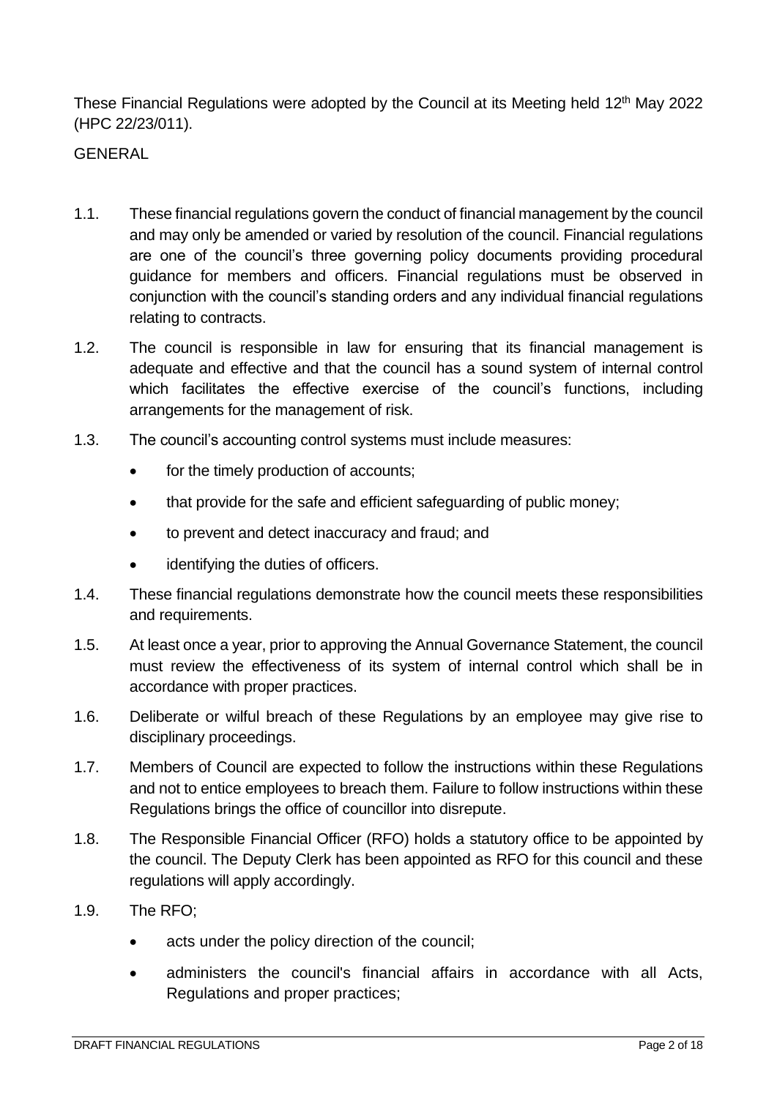These Financial Regulations were adopted by the Council at its Meeting held 12<sup>th</sup> May 2022 (HPC 22/23/011).

#### <span id="page-1-0"></span>**GENERAL**

- 1.1. These financial regulations govern the conduct of financial management by the council and may only be amended or varied by resolution of the council. Financial regulations are one of the council's three governing policy documents providing procedural guidance for members and officers. Financial regulations must be observed in conjunction with the council's standing orders and any individual financial regulations relating to contracts.
- 1.2. The council is responsible in law for ensuring that its financial management is adequate and effective and that the council has a sound system of internal control which facilitates the effective exercise of the council's functions, including arrangements for the management of risk.
- 1.3. The council's accounting control systems must include measures:
	- for the timely production of accounts;
	- that provide for the safe and efficient safeguarding of public money;
	- to prevent and detect inaccuracy and fraud; and
	- identifying the duties of officers.
- 1.4. These financial regulations demonstrate how the council meets these responsibilities and requirements.
- 1.5. At least once a year, prior to approving the Annual Governance Statement, the council must review the effectiveness of its system of internal control which shall be in accordance with proper practices.
- 1.6. Deliberate or wilful breach of these Regulations by an employee may give rise to disciplinary proceedings.
- 1.7. Members of Council are expected to follow the instructions within these Regulations and not to entice employees to breach them. Failure to follow instructions within these Regulations brings the office of councillor into disrepute.
- 1.8. The Responsible Financial Officer (RFO) holds a statutory office to be appointed by the council. The Deputy Clerk has been appointed as RFO for this council and these regulations will apply accordingly.
- 1.9. The RFO;
	- acts under the policy direction of the council;
	- administers the council's financial affairs in accordance with all Acts, Regulations and proper practices;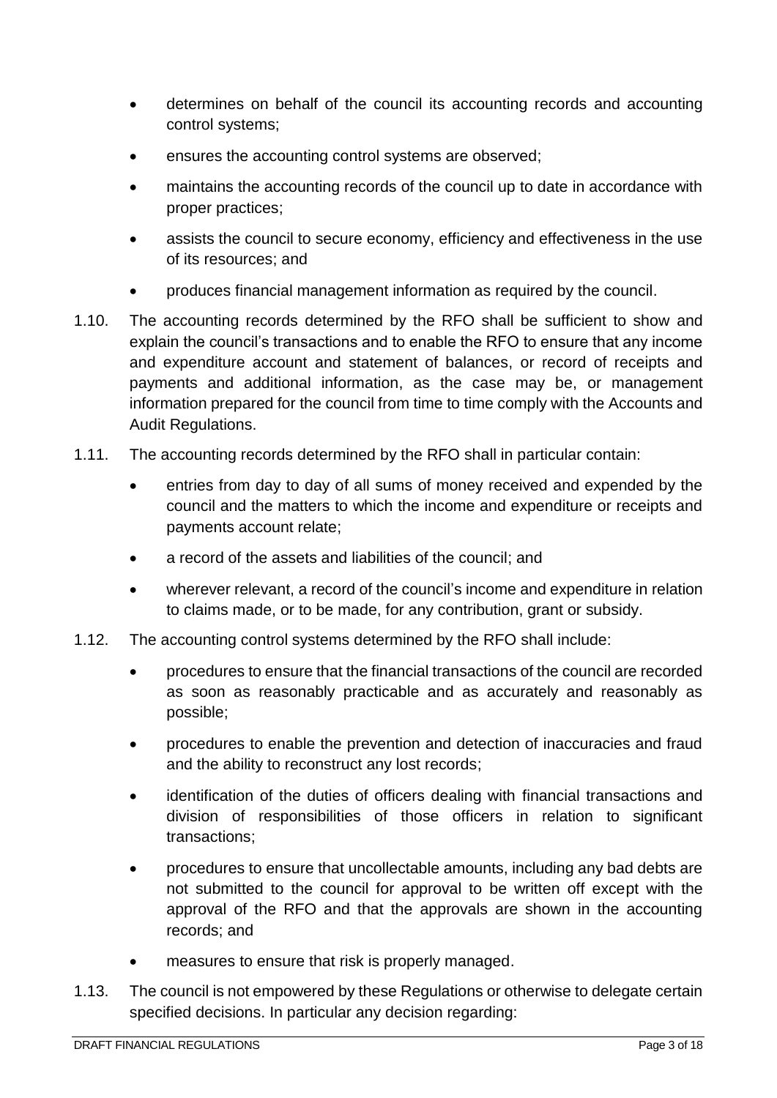- determines on behalf of the council its accounting records and accounting control systems;
- ensures the accounting control systems are observed;
- maintains the accounting records of the council up to date in accordance with proper practices;
- assists the council to secure economy, efficiency and effectiveness in the use of its resources; and
- produces financial management information as required by the council.
- 1.10. The accounting records determined by the RFO shall be sufficient to show and explain the council's transactions and to enable the RFO to ensure that any income and expenditure account and statement of balances, or record of receipts and payments and additional information, as the case may be, or management information prepared for the council from time to time comply with the Accounts and Audit Regulations.
- 1.11. The accounting records determined by the RFO shall in particular contain:
	- entries from day to day of all sums of money received and expended by the council and the matters to which the income and expenditure or receipts and payments account relate;
	- a record of the assets and liabilities of the council; and
	- wherever relevant, a record of the council's income and expenditure in relation to claims made, or to be made, for any contribution, grant or subsidy.
- 1.12. The accounting control systems determined by the RFO shall include:
	- procedures to ensure that the financial transactions of the council are recorded as soon as reasonably practicable and as accurately and reasonably as possible;
	- procedures to enable the prevention and detection of inaccuracies and fraud and the ability to reconstruct any lost records;
	- identification of the duties of officers dealing with financial transactions and division of responsibilities of those officers in relation to significant transactions;
	- procedures to ensure that uncollectable amounts, including any bad debts are not submitted to the council for approval to be written off except with the approval of the RFO and that the approvals are shown in the accounting records; and
	- measures to ensure that risk is properly managed.
- 1.13. The council is not empowered by these Regulations or otherwise to delegate certain specified decisions. In particular any decision regarding: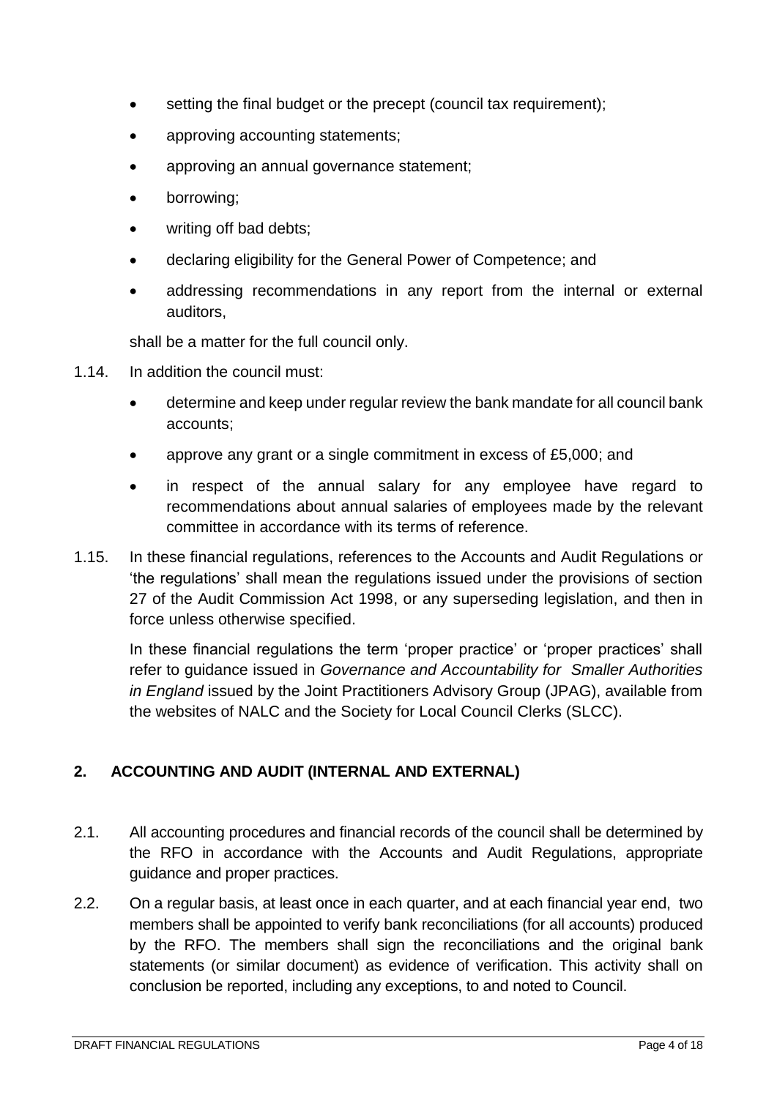- setting the final budget or the precept (council tax requirement);
- approving accounting statements;
- approving an annual governance statement;
- borrowing;
- writing off bad debts;
- declaring eligibility for the General Power of Competence; and
- addressing recommendations in any report from the internal or external auditors,

shall be a matter for the full council only.

- 1.14. In addition the council must:
	- determine and keep under regular review the bank mandate for all council bank accounts;
	- approve any grant or a single commitment in excess of £5,000; and
	- in respect of the annual salary for any employee have regard to recommendations about annual salaries of employees made by the relevant committee in accordance with its terms of reference.
- 1.15. In these financial regulations, references to the Accounts and Audit Regulations or 'the regulations' shall mean the regulations issued under the provisions of section 27 of the Audit Commission Act 1998, or any superseding legislation, and then in force unless otherwise specified.

In these financial regulations the term 'proper practice' or 'proper practices' shall refer to guidance issued in *Governance and Accountability for Smaller Authorities in England* issued by the Joint Practitioners Advisory Group (JPAG), available from the websites of NALC and the Society for Local Council Clerks (SLCC).

# <span id="page-3-0"></span>**2. ACCOUNTING AND AUDIT (INTERNAL AND EXTERNAL)**

- 2.1. All accounting procedures and financial records of the council shall be determined by the RFO in accordance with the Accounts and Audit Regulations, appropriate guidance and proper practices.
- 2.2. On a regular basis, at least once in each quarter, and at each financial year end, two members shall be appointed to verify bank reconciliations (for all accounts) produced by the RFO. The members shall sign the reconciliations and the original bank statements (or similar document) as evidence of verification. This activity shall on conclusion be reported, including any exceptions, to and noted to Council.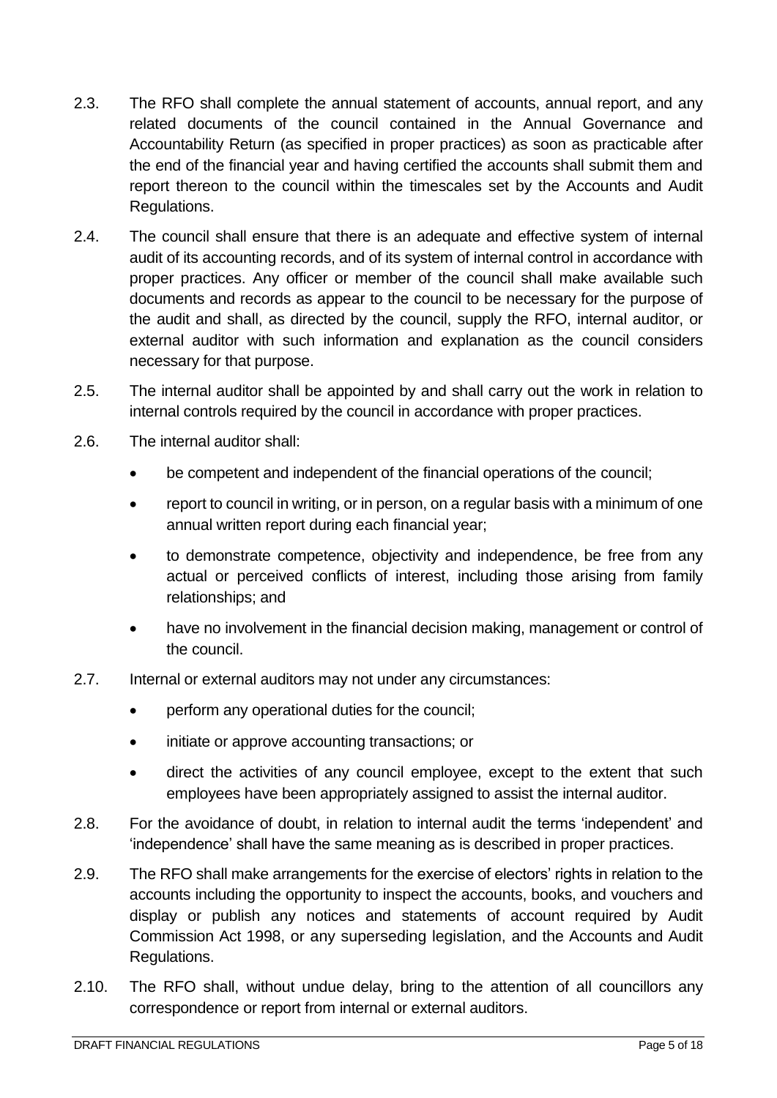- 2.3. The RFO shall complete the annual statement of accounts, annual report, and any related documents of the council contained in the Annual Governance and Accountability Return (as specified in proper practices) as soon as practicable after the end of the financial year and having certified the accounts shall submit them and report thereon to the council within the timescales set by the Accounts and Audit Regulations.
- 2.4. The council shall ensure that there is an adequate and effective system of internal audit of its accounting records, and of its system of internal control in accordance with proper practices. Any officer or member of the council shall make available such documents and records as appear to the council to be necessary for the purpose of the audit and shall, as directed by the council, supply the RFO, internal auditor, or external auditor with such information and explanation as the council considers necessary for that purpose.
- 2.5. The internal auditor shall be appointed by and shall carry out the work in relation to internal controls required by the council in accordance with proper practices.
- 2.6. The internal auditor shall:
	- be competent and independent of the financial operations of the council;
	- report to council in writing, or in person, on a regular basis with a minimum of one annual written report during each financial year;
	- to demonstrate competence, objectivity and independence, be free from any actual or perceived conflicts of interest, including those arising from family relationships; and
	- have no involvement in the financial decision making, management or control of the council.
- 2.7. Internal or external auditors may not under any circumstances:
	- perform any operational duties for the council;
	- initiate or approve accounting transactions; or
	- direct the activities of any council employee, except to the extent that such employees have been appropriately assigned to assist the internal auditor.
- 2.8. For the avoidance of doubt, in relation to internal audit the terms 'independent' and 'independence' shall have the same meaning as is described in proper practices.
- 2.9. The RFO shall make arrangements for the exercise of electors' rights in relation to the accounts including the opportunity to inspect the accounts, books, and vouchers and display or publish any notices and statements of account required by Audit Commission Act 1998, or any superseding legislation, and the Accounts and Audit Regulations.
- 2.10. The RFO shall, without undue delay, bring to the attention of all councillors any correspondence or report from internal or external auditors.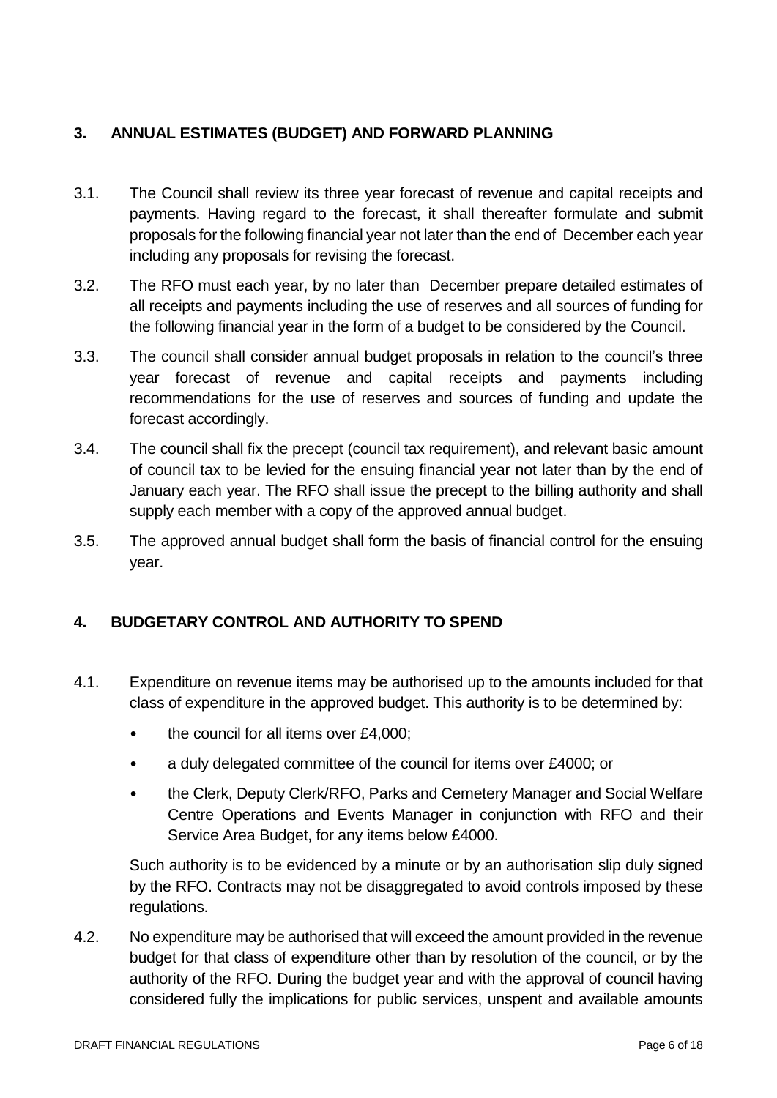# <span id="page-5-0"></span>**3. ANNUAL ESTIMATES (BUDGET) AND FORWARD PLANNING**

- 3.1. The Council shall review its three year forecast of revenue and capital receipts and payments. Having regard to the forecast, it shall thereafter formulate and submit proposals for the following financial year not later than the end of December each year including any proposals for revising the forecast.
- 3.2. The RFO must each year, by no later than December prepare detailed estimates of all receipts and payments including the use of reserves and all sources of funding for the following financial year in the form of a budget to be considered by the Council.
- 3.3. The council shall consider annual budget proposals in relation to the council's three year forecast of revenue and capital receipts and payments including recommendations for the use of reserves and sources of funding and update the forecast accordingly.
- 3.4. The council shall fix the precept (council tax requirement), and relevant basic amount of council tax to be levied for the ensuing financial year not later than by the end of January each year. The RFO shall issue the precept to the billing authority and shall supply each member with a copy of the approved annual budget.
- 3.5. The approved annual budget shall form the basis of financial control for the ensuing year.

# <span id="page-5-1"></span>**4. BUDGETARY CONTROL AND AUTHORITY TO SPEND**

- 4.1. Expenditure on revenue items may be authorised up to the amounts included for that class of expenditure in the approved budget. This authority is to be determined by:
	- the council for all items over £4,000;
	- a duly delegated committee of the council for items over £4000; or
	- the Clerk, Deputy Clerk/RFO, Parks and Cemetery Manager and Social Welfare Centre Operations and Events Manager in conjunction with RFO and their Service Area Budget, for any items below £4000.

Such authority is to be evidenced by a minute or by an authorisation slip duly signed by the RFO. Contracts may not be disaggregated to avoid controls imposed by these regulations.

4.2. No expenditure may be authorised that will exceed the amount provided in the revenue budget for that class of expenditure other than by resolution of the council, or by the authority of the RFO. During the budget year and with the approval of council having considered fully the implications for public services, unspent and available amounts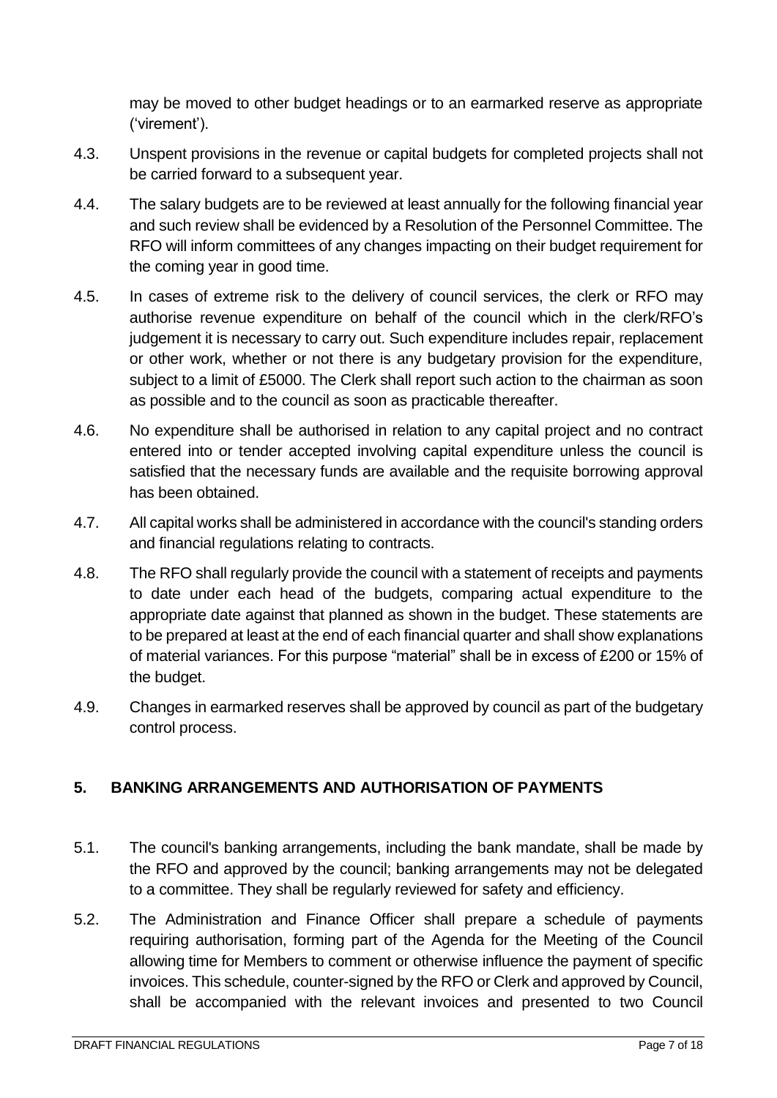may be moved to other budget headings or to an earmarked reserve as appropriate ('virement').

- 4.3. Unspent provisions in the revenue or capital budgets for completed projects shall not be carried forward to a subsequent year.
- 4.4. The salary budgets are to be reviewed at least annually for the following financial year and such review shall be evidenced by a Resolution of the Personnel Committee. The RFO will inform committees of any changes impacting on their budget requirement for the coming year in good time.
- 4.5. In cases of extreme risk to the delivery of council services, the clerk or RFO may authorise revenue expenditure on behalf of the council which in the clerk/RFO's judgement it is necessary to carry out. Such expenditure includes repair, replacement or other work, whether or not there is any budgetary provision for the expenditure, subject to a limit of £5000. The Clerk shall report such action to the chairman as soon as possible and to the council as soon as practicable thereafter.
- 4.6. No expenditure shall be authorised in relation to any capital project and no contract entered into or tender accepted involving capital expenditure unless the council is satisfied that the necessary funds are available and the requisite borrowing approval has been obtained.
- 4.7. All capital works shall be administered in accordance with the council's standing orders and financial regulations relating to contracts.
- 4.8. The RFO shall regularly provide the council with a statement of receipts and payments to date under each head of the budgets, comparing actual expenditure to the appropriate date against that planned as shown in the budget. These statements are to be prepared at least at the end of each financial quarter and shall show explanations of material variances. For this purpose "material" shall be in excess of £200 or 15% of the budget.
- 4.9. Changes in earmarked reserves shall be approved by council as part of the budgetary control process.

# <span id="page-6-0"></span>**5. BANKING ARRANGEMENTS AND AUTHORISATION OF PAYMENTS**

- 5.1. The council's banking arrangements, including the bank mandate, shall be made by the RFO and approved by the council; banking arrangements may not be delegated to a committee. They shall be regularly reviewed for safety and efficiency.
- 5.2. The Administration and Finance Officer shall prepare a schedule of payments requiring authorisation, forming part of the Agenda for the Meeting of the Council allowing time for Members to comment or otherwise influence the payment of specific invoices. This schedule, counter-signed by the RFO or Clerk and approved by Council, shall be accompanied with the relevant invoices and presented to two Council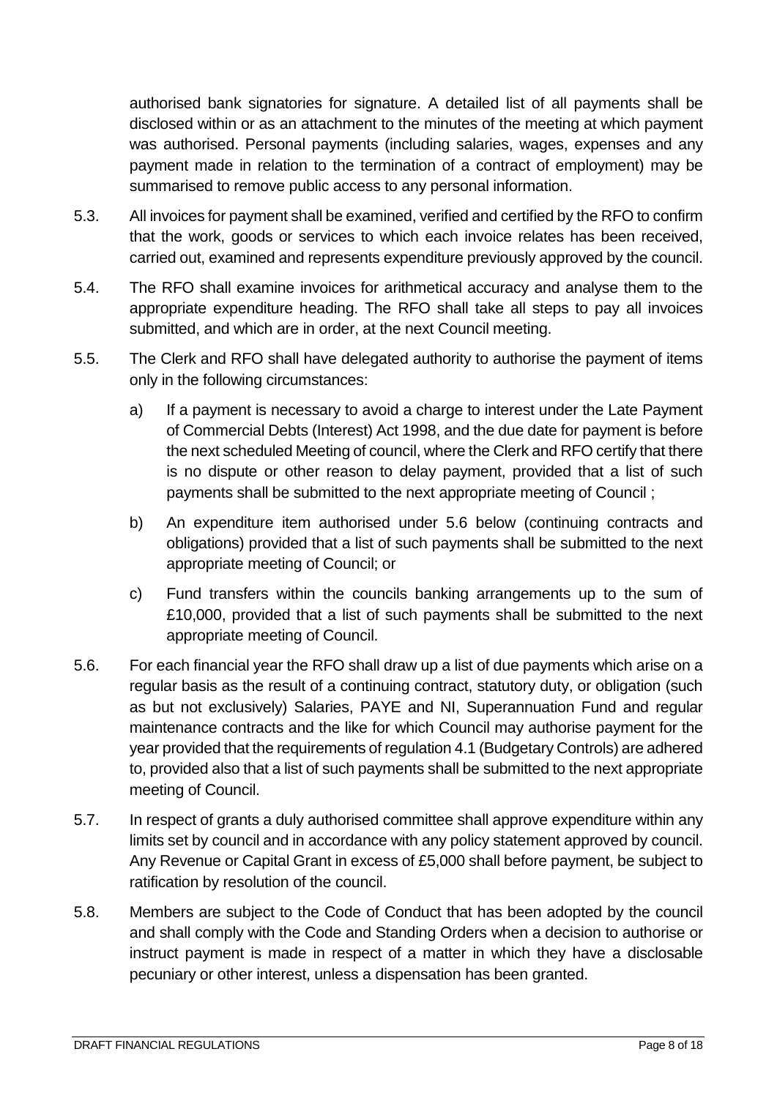authorised bank signatories for signature. A detailed list of all payments shall be disclosed within or as an attachment to the minutes of the meeting at which payment was authorised. Personal payments (including salaries, wages, expenses and any payment made in relation to the termination of a contract of employment) may be summarised to remove public access to any personal information.

- 5.3. All invoices for payment shall be examined, verified and certified by the RFO to confirm that the work, goods or services to which each invoice relates has been received, carried out, examined and represents expenditure previously approved by the council.
- 5.4. The RFO shall examine invoices for arithmetical accuracy and analyse them to the appropriate expenditure heading. The RFO shall take all steps to pay all invoices submitted, and which are in order, at the next Council meeting.
- 5.5. The Clerk and RFO shall have delegated authority to authorise the payment of items only in the following circumstances:
	- a) If a payment is necessary to avoid a charge to interest under the Late Payment of Commercial Debts (Interest) Act 1998, and the due date for payment is before the next scheduled Meeting of council, where the Clerk and RFO certify that there is no dispute or other reason to delay payment, provided that a list of such payments shall be submitted to the next appropriate meeting of Council ;
	- b) An expenditure item authorised under 5.6 below (continuing contracts and obligations) provided that a list of such payments shall be submitted to the next appropriate meeting of Council; or
	- c) Fund transfers within the councils banking arrangements up to the sum of £10,000, provided that a list of such payments shall be submitted to the next appropriate meeting of Council.
- 5.6. For each financial year the RFO shall draw up a list of due payments which arise on a regular basis as the result of a continuing contract, statutory duty, or obligation (such as but not exclusively) Salaries, PAYE and NI, Superannuation Fund and regular maintenance contracts and the like for which Council may authorise payment for the year provided that the requirements of regulation 4.1 (Budgetary Controls) are adhered to, provided also that a list of such payments shall be submitted to the next appropriate meeting of Council.
- 5.7. In respect of grants a duly authorised committee shall approve expenditure within any limits set by council and in accordance with any policy statement approved by council. Any Revenue or Capital Grant in excess of £5,000 shall before payment, be subject to ratification by resolution of the council.
- 5.8. Members are subject to the Code of Conduct that has been adopted by the council and shall comply with the Code and Standing Orders when a decision to authorise or instruct payment is made in respect of a matter in which they have a disclosable pecuniary or other interest, unless a dispensation has been granted.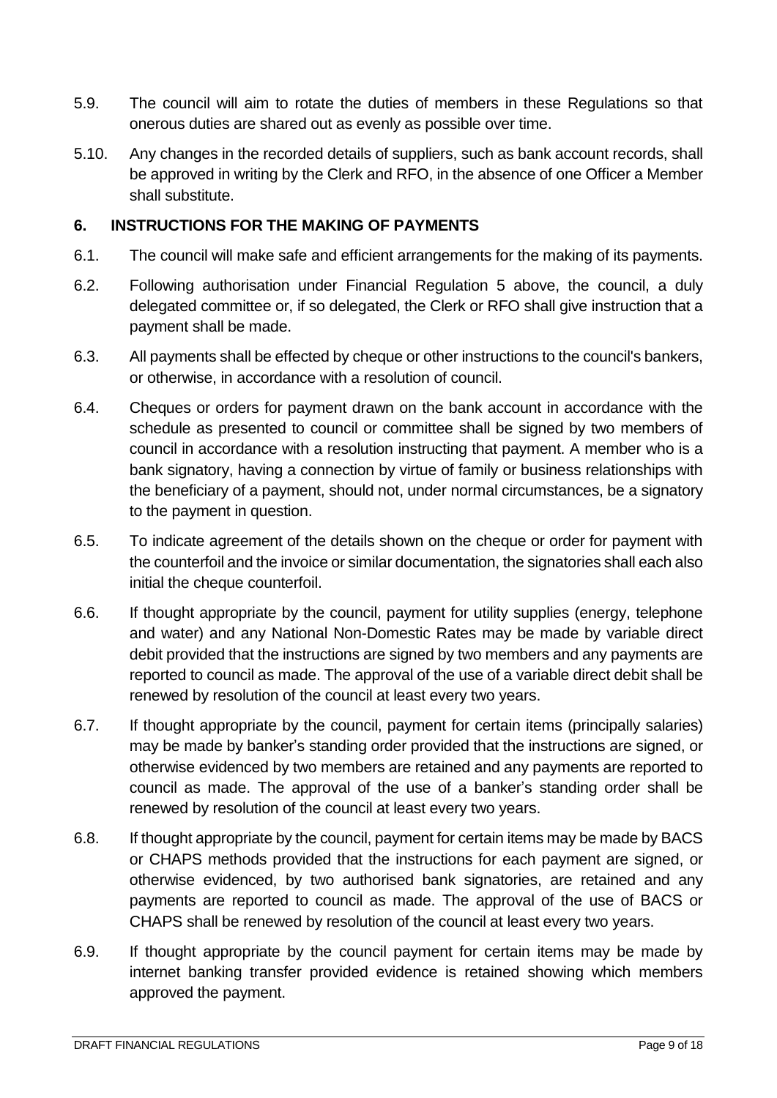- 5.9. The council will aim to rotate the duties of members in these Regulations so that onerous duties are shared out as evenly as possible over time.
- 5.10. Any changes in the recorded details of suppliers, such as bank account records, shall be approved in writing by the Clerk and RFO, in the absence of one Officer a Member shall substitute.

#### <span id="page-8-0"></span>**6. INSTRUCTIONS FOR THE MAKING OF PAYMENTS**

- 6.1. The council will make safe and efficient arrangements for the making of its payments.
- 6.2. Following authorisation under Financial Regulation 5 above, the council, a duly delegated committee or, if so delegated, the Clerk or RFO shall give instruction that a payment shall be made.
- 6.3. All payments shall be effected by cheque or other instructions to the council's bankers, or otherwise, in accordance with a resolution of council.
- 6.4. Cheques or orders for payment drawn on the bank account in accordance with the schedule as presented to council or committee shall be signed by two members of council in accordance with a resolution instructing that payment. A member who is a bank signatory, having a connection by virtue of family or business relationships with the beneficiary of a payment, should not, under normal circumstances, be a signatory to the payment in question.
- 6.5. To indicate agreement of the details shown on the cheque or order for payment with the counterfoil and the invoice or similar documentation, the signatories shall each also initial the cheque counterfoil.
- 6.6. If thought appropriate by the council, payment for utility supplies (energy, telephone and water) and any National Non-Domestic Rates may be made by variable direct debit provided that the instructions are signed by two members and any payments are reported to council as made. The approval of the use of a variable direct debit shall be renewed by resolution of the council at least every two years.
- 6.7. If thought appropriate by the council, payment for certain items (principally salaries) may be made by banker's standing order provided that the instructions are signed, or otherwise evidenced by two members are retained and any payments are reported to council as made. The approval of the use of a banker's standing order shall be renewed by resolution of the council at least every two years.
- 6.8. If thought appropriate by the council, payment for certain items may be made by BACS or CHAPS methods provided that the instructions for each payment are signed, or otherwise evidenced, by two authorised bank signatories, are retained and any payments are reported to council as made. The approval of the use of BACS or CHAPS shall be renewed by resolution of the council at least every two years.
- 6.9. If thought appropriate by the council payment for certain items may be made by internet banking transfer provided evidence is retained showing which members approved the payment.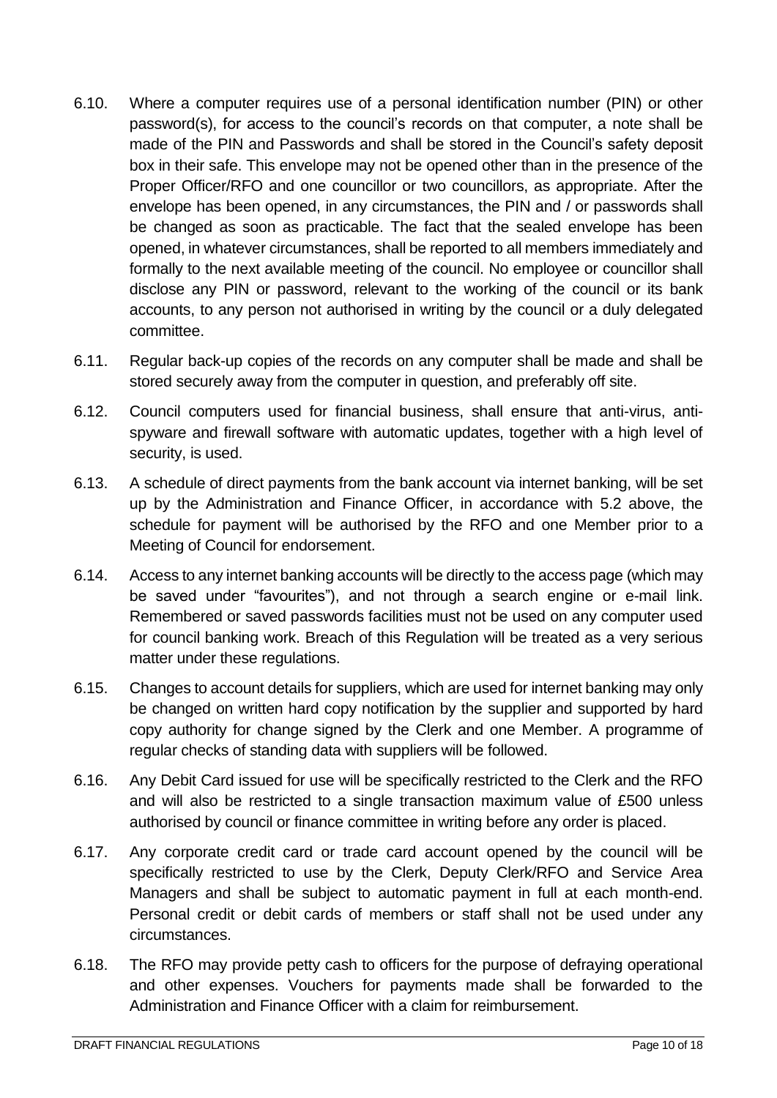- 6.10. Where a computer requires use of a personal identification number (PIN) or other password(s), for access to the council's records on that computer, a note shall be made of the PIN and Passwords and shall be stored in the Council's safety deposit box in their safe. This envelope may not be opened other than in the presence of the Proper Officer/RFO and one councillor or two councillors, as appropriate. After the envelope has been opened, in any circumstances, the PIN and / or passwords shall be changed as soon as practicable. The fact that the sealed envelope has been opened, in whatever circumstances, shall be reported to all members immediately and formally to the next available meeting of the council. No employee or councillor shall disclose any PIN or password, relevant to the working of the council or its bank accounts, to any person not authorised in writing by the council or a duly delegated committee.
- 6.11. Regular back-up copies of the records on any computer shall be made and shall be stored securely away from the computer in question, and preferably off site.
- 6.12. Council computers used for financial business, shall ensure that anti-virus, antispyware and firewall software with automatic updates, together with a high level of security, is used.
- 6.13. A schedule of direct payments from the bank account via internet banking, will be set up by the Administration and Finance Officer, in accordance with 5.2 above, the schedule for payment will be authorised by the RFO and one Member prior to a Meeting of Council for endorsement.
- 6.14. Access to any internet banking accounts will be directly to the access page (which may be saved under "favourites"), and not through a search engine or e-mail link. Remembered or saved passwords facilities must not be used on any computer used for council banking work. Breach of this Regulation will be treated as a very serious matter under these regulations.
- 6.15. Changes to account details for suppliers, which are used for internet banking may only be changed on written hard copy notification by the supplier and supported by hard copy authority for change signed by the Clerk and one Member. A programme of regular checks of standing data with suppliers will be followed.
- 6.16. Any Debit Card issued for use will be specifically restricted to the Clerk and the RFO and will also be restricted to a single transaction maximum value of £500 unless authorised by council or finance committee in writing before any order is placed.
- 6.17. Any corporate credit card or trade card account opened by the council will be specifically restricted to use by the Clerk, Deputy Clerk/RFO and Service Area Managers and shall be subject to automatic payment in full at each month-end. Personal credit or debit cards of members or staff shall not be used under any circumstances.
- 6.18. The RFO may provide petty cash to officers for the purpose of defraying operational and other expenses. Vouchers for payments made shall be forwarded to the Administration and Finance Officer with a claim for reimbursement.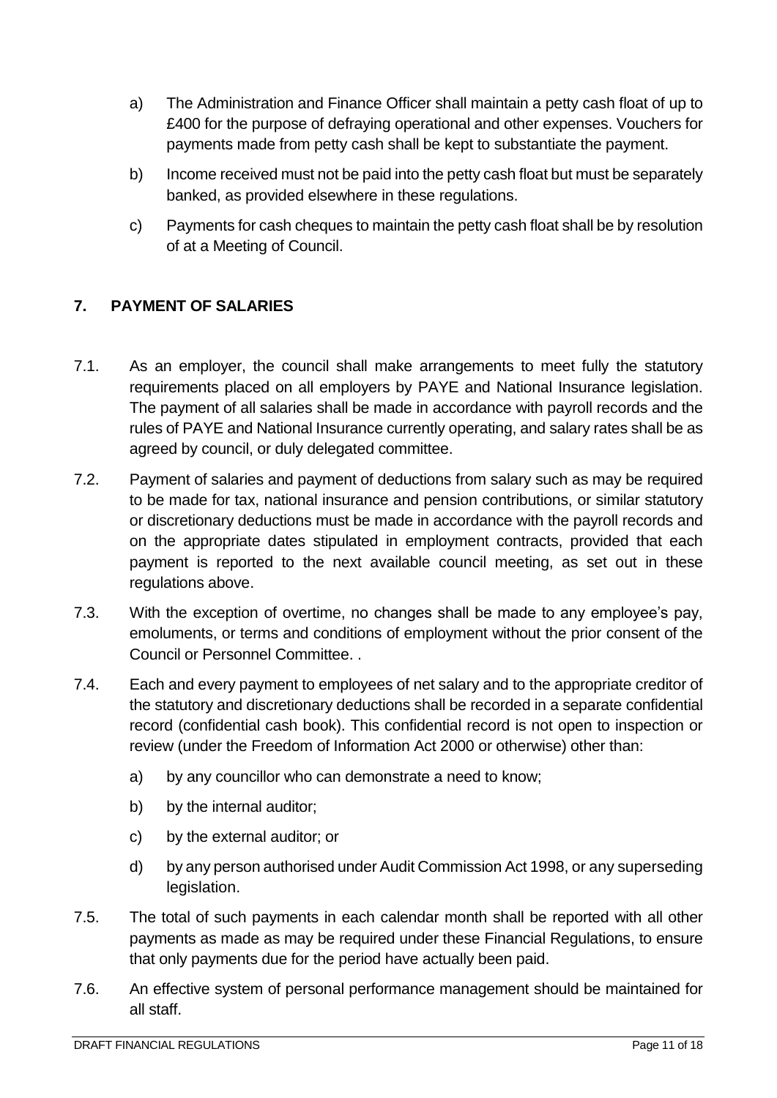- a) The Administration and Finance Officer shall maintain a petty cash float of up to £400 for the purpose of defraying operational and other expenses. Vouchers for payments made from petty cash shall be kept to substantiate the payment.
- b) Income received must not be paid into the petty cash float but must be separately banked, as provided elsewhere in these regulations.
- c) Payments for cash cheques to maintain the petty cash float shall be by resolution of at a Meeting of Council.

# <span id="page-10-0"></span>**7. PAYMENT OF SALARIES**

- 7.1. As an employer, the council shall make arrangements to meet fully the statutory requirements placed on all employers by PAYE and National Insurance legislation. The payment of all salaries shall be made in accordance with payroll records and the rules of PAYE and National Insurance currently operating, and salary rates shall be as agreed by council, or duly delegated committee.
- 7.2. Payment of salaries and payment of deductions from salary such as may be required to be made for tax, national insurance and pension contributions, or similar statutory or discretionary deductions must be made in accordance with the payroll records and on the appropriate dates stipulated in employment contracts, provided that each payment is reported to the next available council meeting, as set out in these regulations above.
- 7.3. With the exception of overtime, no changes shall be made to any employee's pay, emoluments, or terms and conditions of employment without the prior consent of the Council or Personnel Committee. .
- 7.4. Each and every payment to employees of net salary and to the appropriate creditor of the statutory and discretionary deductions shall be recorded in a separate confidential record (confidential cash book). This confidential record is not open to inspection or review (under the Freedom of Information Act 2000 or otherwise) other than:
	- a) by any councillor who can demonstrate a need to know;
	- b) by the internal auditor:
	- c) by the external auditor; or
	- d) by any person authorised under Audit Commission Act 1998, or any superseding legislation.
- 7.5. The total of such payments in each calendar month shall be reported with all other payments as made as may be required under these Financial Regulations, to ensure that only payments due for the period have actually been paid.
- 7.6. An effective system of personal performance management should be maintained for all staff.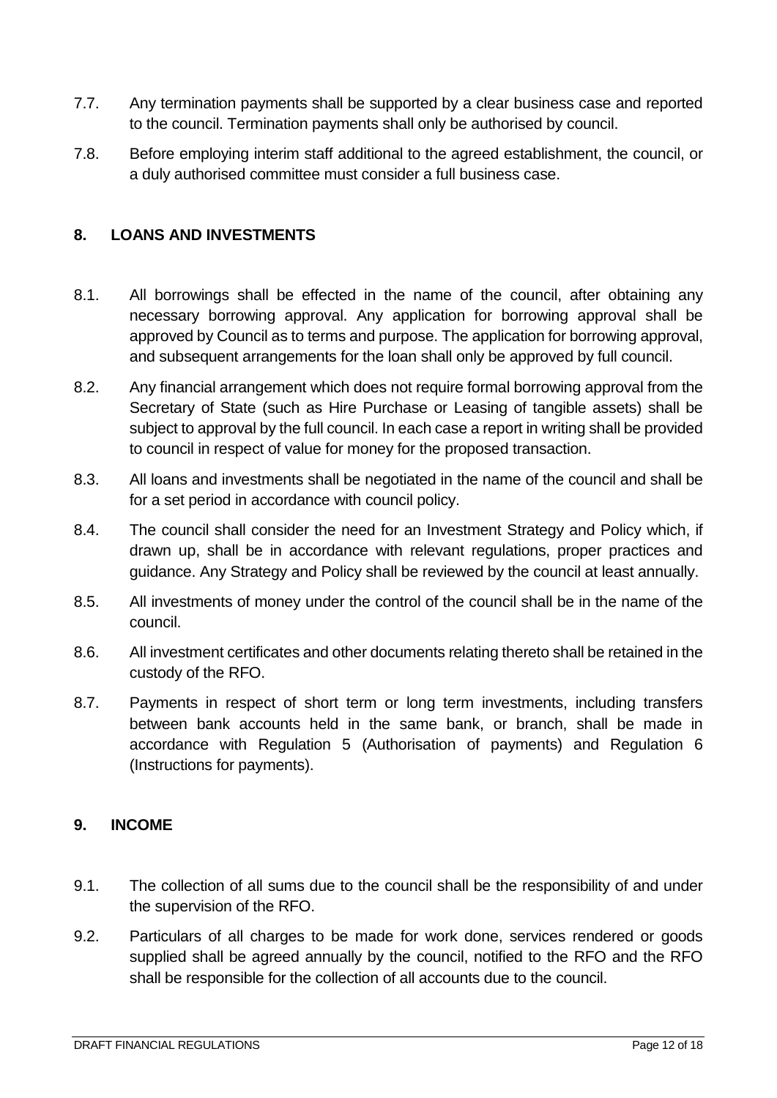- 7.7. Any termination payments shall be supported by a clear business case and reported to the council. Termination payments shall only be authorised by council.
- 7.8. Before employing interim staff additional to the agreed establishment, the council, or a duly authorised committee must consider a full business case.

### <span id="page-11-0"></span>**8. LOANS AND INVESTMENTS**

- 8.1. All borrowings shall be effected in the name of the council, after obtaining any necessary borrowing approval. Any application for borrowing approval shall be approved by Council as to terms and purpose. The application for borrowing approval, and subsequent arrangements for the loan shall only be approved by full council.
- 8.2. Any financial arrangement which does not require formal borrowing approval from the Secretary of State (such as Hire Purchase or Leasing of tangible assets) shall be subject to approval by the full council. In each case a report in writing shall be provided to council in respect of value for money for the proposed transaction.
- 8.3. All loans and investments shall be negotiated in the name of the council and shall be for a set period in accordance with council policy.
- 8.4. The council shall consider the need for an Investment Strategy and Policy which, if drawn up, shall be in accordance with relevant regulations, proper practices and guidance. Any Strategy and Policy shall be reviewed by the council at least annually.
- 8.5. All investments of money under the control of the council shall be in the name of the council.
- 8.6. All investment certificates and other documents relating thereto shall be retained in the custody of the RFO.
- 8.7. Payments in respect of short term or long term investments, including transfers between bank accounts held in the same bank, or branch, shall be made in accordance with Regulation 5 (Authorisation of payments) and Regulation 6 (Instructions for payments).

#### <span id="page-11-1"></span>**9. INCOME**

- 9.1. The collection of all sums due to the council shall be the responsibility of and under the supervision of the RFO.
- 9.2. Particulars of all charges to be made for work done, services rendered or goods supplied shall be agreed annually by the council, notified to the RFO and the RFO shall be responsible for the collection of all accounts due to the council.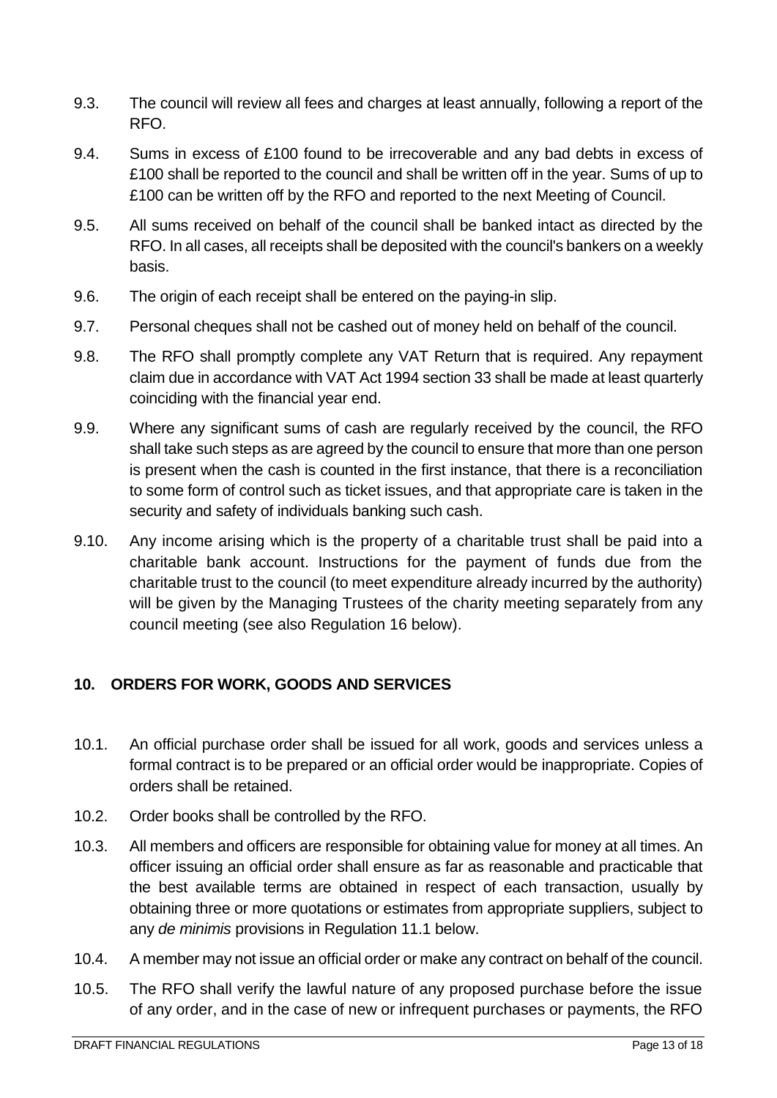- 9.3. The council will review all fees and charges at least annually, following a report of the RFO.
- 9.4. Sums in excess of £100 found to be irrecoverable and any bad debts in excess of £100 shall be reported to the council and shall be written off in the year. Sums of up to £100 can be written off by the RFO and reported to the next Meeting of Council.
- 9.5. All sums received on behalf of the council shall be banked intact as directed by the RFO. In all cases, all receipts shall be deposited with the council's bankers on a weekly basis.
- 9.6. The origin of each receipt shall be entered on the paying-in slip.
- 9.7. Personal cheques shall not be cashed out of money held on behalf of the council.
- 9.8. The RFO shall promptly complete any VAT Return that is required. Any repayment claim due in accordance with VAT Act 1994 section 33 shall be made at least quarterly coinciding with the financial year end.
- 9.9. Where any significant sums of cash are regularly received by the council, the RFO shall take such steps as are agreed by the council to ensure that more than one person is present when the cash is counted in the first instance, that there is a reconciliation to some form of control such as ticket issues, and that appropriate care is taken in the security and safety of individuals banking such cash.
- 9.10. Any income arising which is the property of a charitable trust shall be paid into a charitable bank account. Instructions for the payment of funds due from the charitable trust to the council (to meet expenditure already incurred by the authority) will be given by the Managing Trustees of the charity meeting separately from any council meeting (see also Regulation 16 below).

### <span id="page-12-0"></span>**10. ORDERS FOR WORK, GOODS AND SERVICES**

- 10.1. An official purchase order shall be issued for all work, goods and services unless a formal contract is to be prepared or an official order would be inappropriate. Copies of orders shall be retained.
- 10.2. Order books shall be controlled by the RFO.
- 10.3. All members and officers are responsible for obtaining value for money at all times. An officer issuing an official order shall ensure as far as reasonable and practicable that the best available terms are obtained in respect of each transaction, usually by obtaining three or more quotations or estimates from appropriate suppliers, subject to any *de minimis* provisions in Regulation 11.1 below.
- 10.4. A member may not issue an official order or make any contract on behalf of the council.
- 10.5. The RFO shall verify the lawful nature of any proposed purchase before the issue of any order, and in the case of new or infrequent purchases or payments, the RFO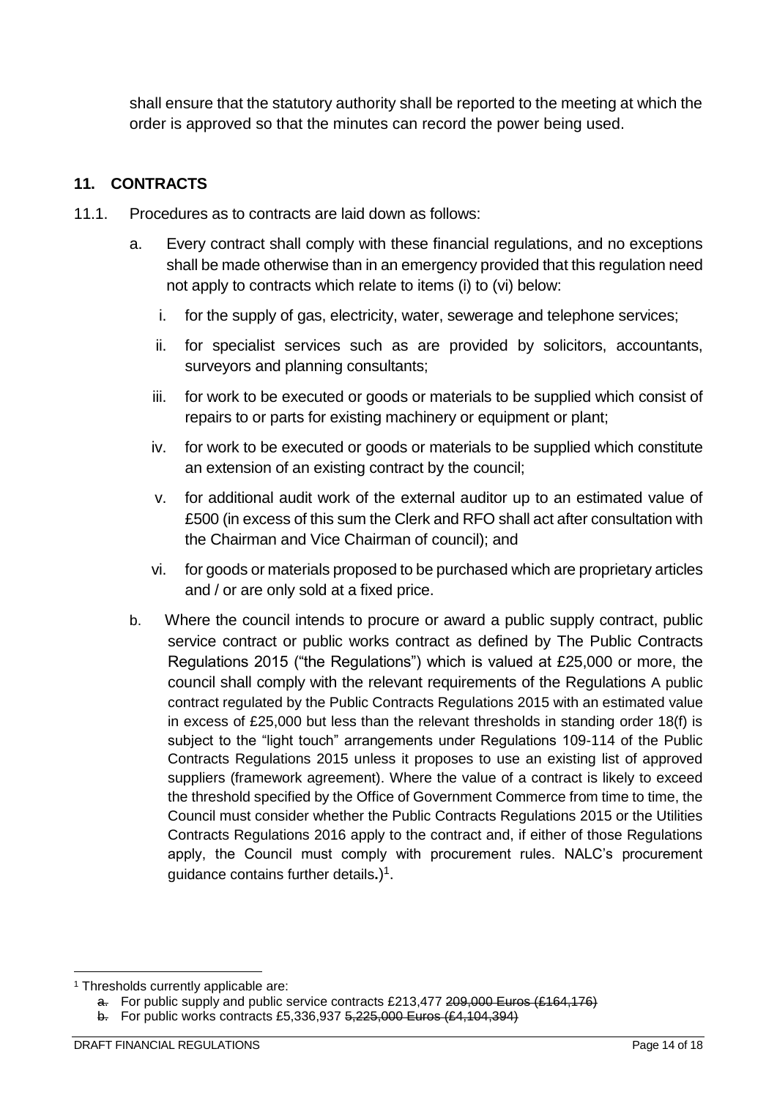shall ensure that the statutory authority shall be reported to the meeting at which the order is approved so that the minutes can record the power being used.

# <span id="page-13-0"></span>**11. CONTRACTS**

- 11.1. Procedures as to contracts are laid down as follows:
	- a. Every contract shall comply with these financial regulations, and no exceptions shall be made otherwise than in an emergency provided that this regulation need not apply to contracts which relate to items (i) to (vi) below:
		- i. for the supply of gas, electricity, water, sewerage and telephone services;
		- ii. for specialist services such as are provided by solicitors, accountants, surveyors and planning consultants;
		- iii. for work to be executed or goods or materials to be supplied which consist of repairs to or parts for existing machinery or equipment or plant;
		- iv. for work to be executed or goods or materials to be supplied which constitute an extension of an existing contract by the council;
		- v. for additional audit work of the external auditor up to an estimated value of £500 (in excess of this sum the Clerk and RFO shall act after consultation with the Chairman and Vice Chairman of council); and
		- vi. for goods or materials proposed to be purchased which are proprietary articles and / or are only sold at a fixed price.
	- b. Where the council intends to procure or award a public supply contract, public service contract or public works contract as defined by The Public Contracts Regulations 2015 ("the Regulations") which is valued at £25,000 or more, the council shall comply with the relevant requirements of the Regulations A public contract regulated by the Public Contracts Regulations 2015 with an estimated value in excess of £25,000 but less than the relevant thresholds in standing order 18(f) is subject to the "light touch" arrangements under Regulations 109-114 of the Public Contracts Regulations 2015 unless it proposes to use an existing list of approved suppliers (framework agreement). Where the value of a contract is likely to exceed the threshold specified by the Office of Government Commerce from time to time, the Council must consider whether the Public Contracts Regulations 2015 or the Utilities Contracts Regulations 2016 apply to the contract and, if either of those Regulations apply, the Council must comply with procurement rules. NALC's procurement guidance contains further details**.**) 1 .

<sup>1</sup> <sup>1</sup> Thresholds currently applicable are:

a. For public supply and public service contracts £213,477 209,000 Euros (£164,176)

b. For public works contracts £5,336,937 5,225,000 Euros (£4,104,394)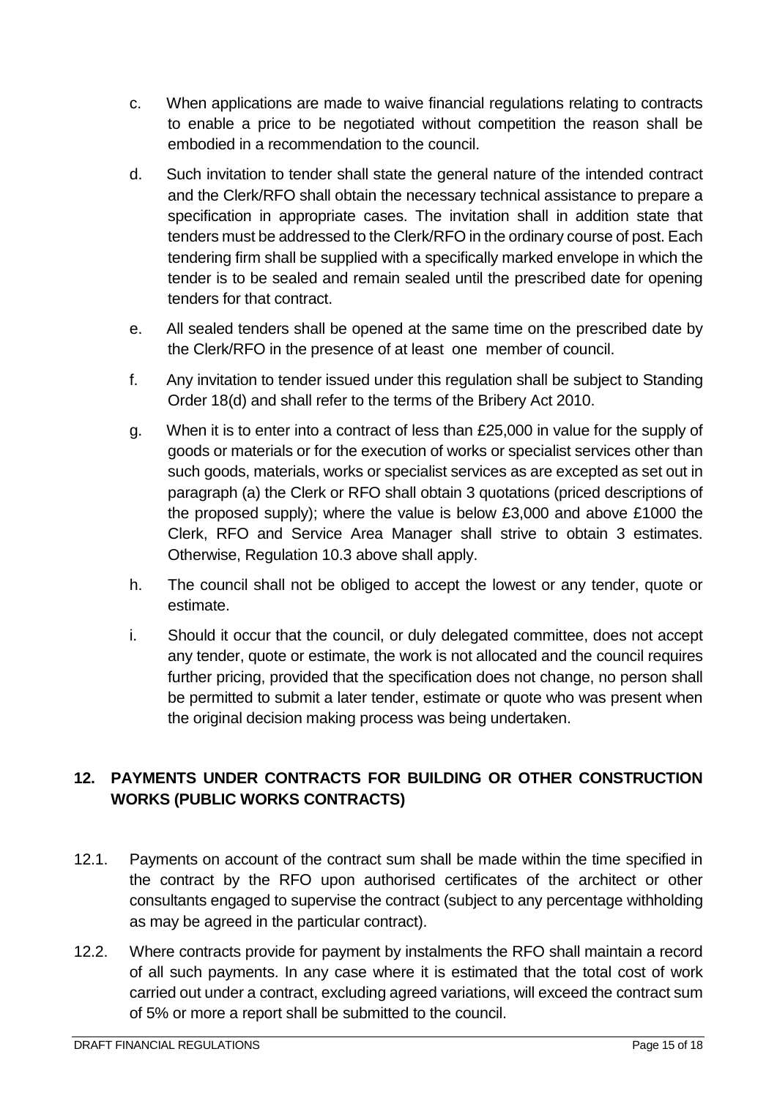- c. When applications are made to waive financial regulations relating to contracts to enable a price to be negotiated without competition the reason shall be embodied in a recommendation to the council.
- d. Such invitation to tender shall state the general nature of the intended contract and the Clerk/RFO shall obtain the necessary technical assistance to prepare a specification in appropriate cases. The invitation shall in addition state that tenders must be addressed to the Clerk/RFO in the ordinary course of post. Each tendering firm shall be supplied with a specifically marked envelope in which the tender is to be sealed and remain sealed until the prescribed date for opening tenders for that contract.
- e. All sealed tenders shall be opened at the same time on the prescribed date by the Clerk/RFO in the presence of at least one member of council.
- f. Any invitation to tender issued under this regulation shall be subject to Standing Order 18(d) and shall refer to the terms of the Bribery Act 2010.
- g. When it is to enter into a contract of less than £25,000 in value for the supply of goods or materials or for the execution of works or specialist services other than such goods, materials, works or specialist services as are excepted as set out in paragraph (a) the Clerk or RFO shall obtain 3 quotations (priced descriptions of the proposed supply); where the value is below £3,000 and above £1000 the Clerk, RFO and Service Area Manager shall strive to obtain 3 estimates. Otherwise, Regulation 10.3 above shall apply.
- h. The council shall not be obliged to accept the lowest or any tender, quote or estimate.
- i. Should it occur that the council, or duly delegated committee, does not accept any tender, quote or estimate, the work is not allocated and the council requires further pricing, provided that the specification does not change, no person shall be permitted to submit a later tender, estimate or quote who was present when the original decision making process was being undertaken.

# <span id="page-14-0"></span>**12. PAYMENTS UNDER CONTRACTS FOR BUILDING OR OTHER CONSTRUCTION WORKS (PUBLIC WORKS CONTRACTS)**

- 12.1. Payments on account of the contract sum shall be made within the time specified in the contract by the RFO upon authorised certificates of the architect or other consultants engaged to supervise the contract (subject to any percentage withholding as may be agreed in the particular contract).
- 12.2. Where contracts provide for payment by instalments the RFO shall maintain a record of all such payments. In any case where it is estimated that the total cost of work carried out under a contract, excluding agreed variations, will exceed the contract sum of 5% or more a report shall be submitted to the council.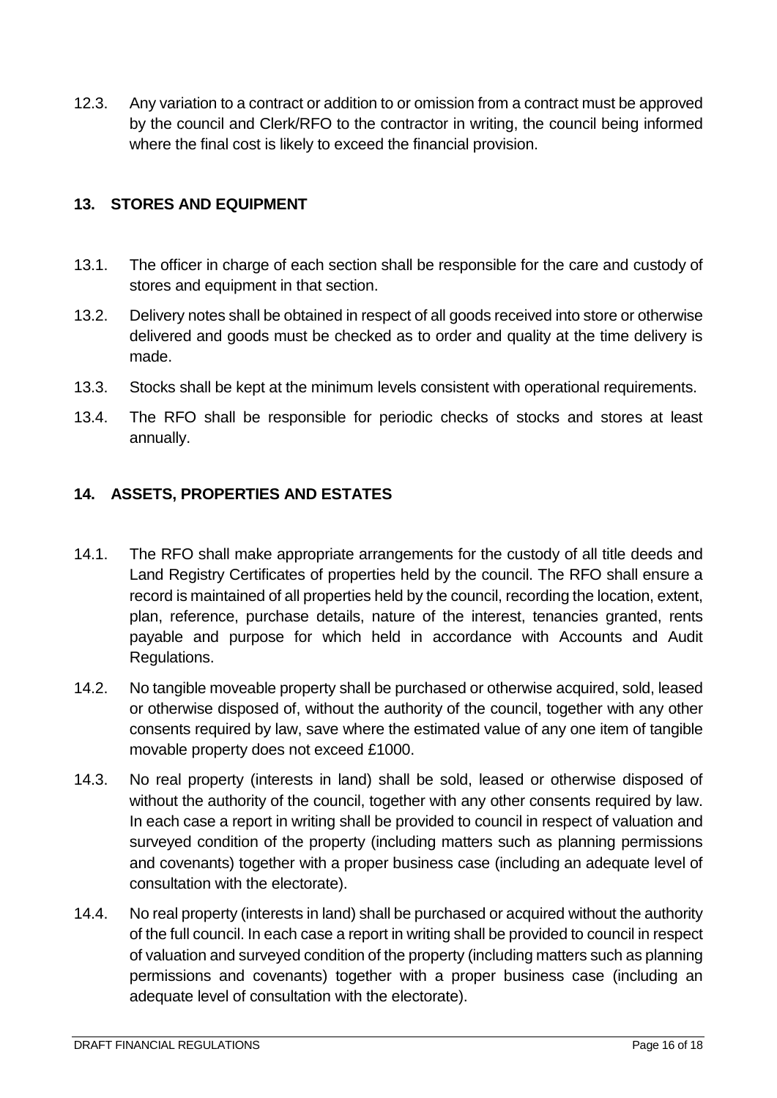12.3. Any variation to a contract or addition to or omission from a contract must be approved by the council and Clerk/RFO to the contractor in writing, the council being informed where the final cost is likely to exceed the financial provision.

### <span id="page-15-0"></span>**13. STORES AND EQUIPMENT**

- 13.1. The officer in charge of each section shall be responsible for the care and custody of stores and equipment in that section.
- 13.2. Delivery notes shall be obtained in respect of all goods received into store or otherwise delivered and goods must be checked as to order and quality at the time delivery is made.
- 13.3. Stocks shall be kept at the minimum levels consistent with operational requirements.
- 13.4. The RFO shall be responsible for periodic checks of stocks and stores at least annually.

# <span id="page-15-1"></span>**14. ASSETS, PROPERTIES AND ESTATES**

- 14.1. The RFO shall make appropriate arrangements for the custody of all title deeds and Land Registry Certificates of properties held by the council. The RFO shall ensure a record is maintained of all properties held by the council, recording the location, extent, plan, reference, purchase details, nature of the interest, tenancies granted, rents payable and purpose for which held in accordance with Accounts and Audit Regulations.
- 14.2. No tangible moveable property shall be purchased or otherwise acquired, sold, leased or otherwise disposed of, without the authority of the council, together with any other consents required by law, save where the estimated value of any one item of tangible movable property does not exceed £1000.
- 14.3. No real property (interests in land) shall be sold, leased or otherwise disposed of without the authority of the council, together with any other consents required by law. In each case a report in writing shall be provided to council in respect of valuation and surveyed condition of the property (including matters such as planning permissions and covenants) together with a proper business case (including an adequate level of consultation with the electorate).
- 14.4. No real property (interests in land) shall be purchased or acquired without the authority of the full council. In each case a report in writing shall be provided to council in respect of valuation and surveyed condition of the property (including matters such as planning permissions and covenants) together with a proper business case (including an adequate level of consultation with the electorate).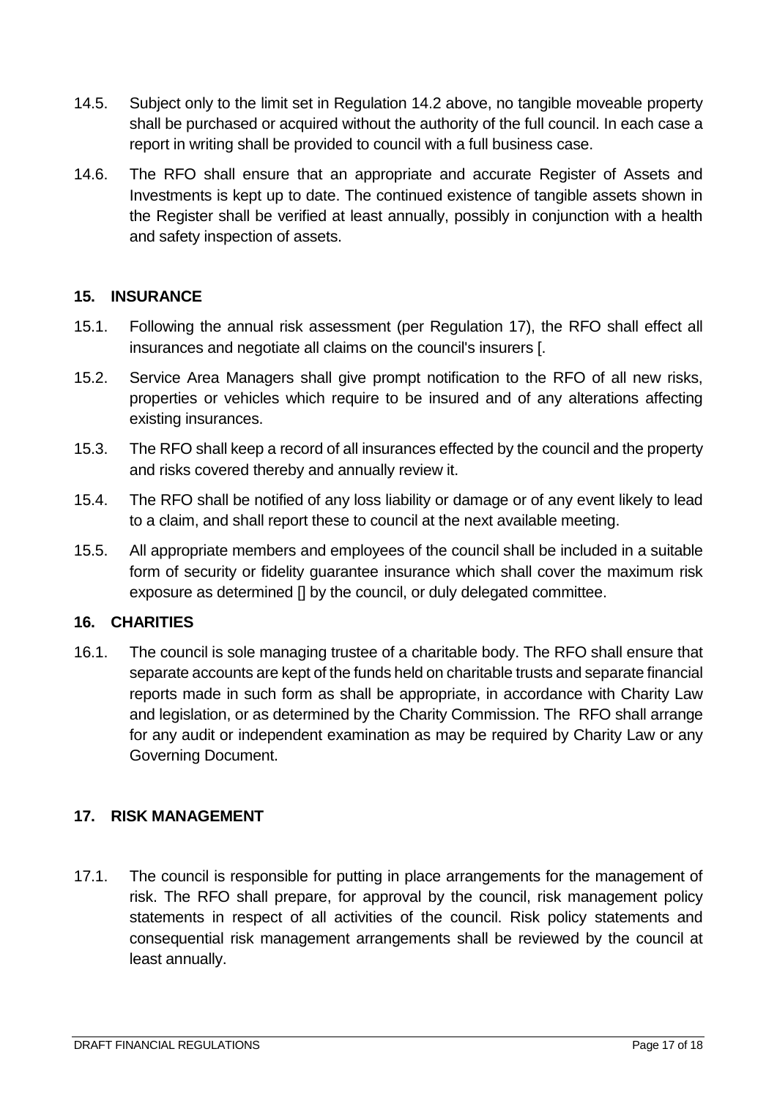- 14.5. Subject only to the limit set in Regulation 14.2 above, no tangible moveable property shall be purchased or acquired without the authority of the full council. In each case a report in writing shall be provided to council with a full business case.
- 14.6. The RFO shall ensure that an appropriate and accurate Register of Assets and Investments is kept up to date. The continued existence of tangible assets shown in the Register shall be verified at least annually, possibly in conjunction with a health and safety inspection of assets.

### <span id="page-16-0"></span>**15. INSURANCE**

- 15.1. Following the annual risk assessment (per Regulation 17), the RFO shall effect all insurances and negotiate all claims on the council's insurers [.
- 15.2. Service Area Managers shall give prompt notification to the RFO of all new risks, properties or vehicles which require to be insured and of any alterations affecting existing insurances.
- 15.3. The RFO shall keep a record of all insurances effected by the council and the property and risks covered thereby and annually review it.
- 15.4. The RFO shall be notified of any loss liability or damage or of any event likely to lead to a claim, and shall report these to council at the next available meeting.
- 15.5. All appropriate members and employees of the council shall be included in a suitable form of security or fidelity guarantee insurance which shall cover the maximum risk exposure as determined [] by the council, or duly delegated committee.

#### <span id="page-16-1"></span>**16. CHARITIES**

16.1. The council is sole managing trustee of a charitable body. The RFO shall ensure that separate accounts are kept of the funds held on charitable trusts and separate financial reports made in such form as shall be appropriate, in accordance with Charity Law and legislation, or as determined by the Charity Commission. The RFO shall arrange for any audit or independent examination as may be required by Charity Law or any Governing Document.

### <span id="page-16-2"></span>**17. RISK MANAGEMENT**

17.1. The council is responsible for putting in place arrangements for the management of risk. The RFO shall prepare, for approval by the council, risk management policy statements in respect of all activities of the council. Risk policy statements and consequential risk management arrangements shall be reviewed by the council at least annually.